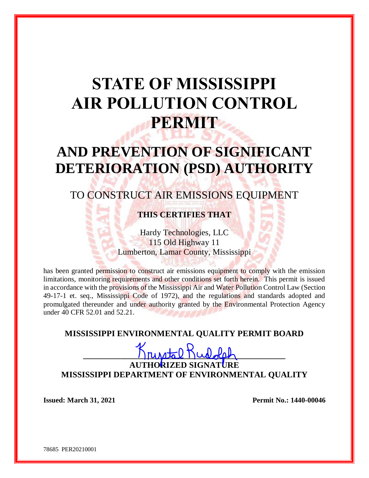# **STATE OF MISSISSIPPI AIR POLLUTION CONTROL PERMIT**

## **AND PREVENTION OF SIGNIFICANT DETERIORATION (PSD) AUTHORITY**

### TO CONSTRUCT AIR EMISSIONS EQUIPMENT

#### **THIS CERTIFIES THAT**

Hardy Technologies, LLC 115 Old Highway 11 Lumberton, Lamar County, Mississippi

has been granted permission to construct air emissions equipment to comply with the emission limitations, monitoring requirements and other conditions set forth herein. This permit is issued in accordance with the provisions of the Mississippi Air and Water Pollution Control Law (Section 49-17-1 et. seq., Mississippi Code of 1972), and the regulations and standards adopted and promulgated thereunder and under authority granted by the Environmental Protection Agency under 40 CFR 52.01 and 52.21.

#### **MISSISSIPPI ENVIRONMENTAL QUALITY PERMIT BOARD**

## $\lim_{\Omega} \frac{1}{\Omega}$  Rud  $\lim_{\Omega}$ **AUTHORIZED SIGNATURE MISSISSIPPI DEPARTMENT OF ENVIRONMENTAL QUALITY**

**Issued:** March 31, 2021 **Permit No.: 1440-00046** 

78685 PER20210001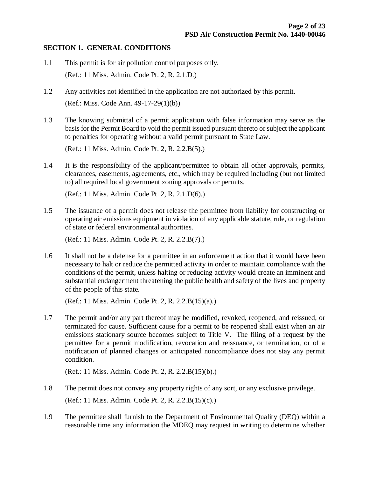#### **SECTION 1. GENERAL CONDITIONS**

- 1.1 This permit is for air pollution control purposes only. (Ref.: 11 Miss. Admin. Code Pt. 2, R. 2.1.D.)
- 1.2 Any activities not identified in the application are not authorized by this permit. (Ref.: Miss. Code Ann. 49-17-29(1)(b))
- 1.3 The knowing submittal of a permit application with false information may serve as the basis for the Permit Board to void the permit issued pursuant thereto or subject the applicant to penalties for operating without a valid permit pursuant to State Law.

(Ref.: 11 Miss. Admin. Code Pt. 2, R. 2.2.B(5).)

1.4 It is the responsibility of the applicant/permittee to obtain all other approvals, permits, clearances, easements, agreements, etc., which may be required including (but not limited to) all required local government zoning approvals or permits.

(Ref.: 11 Miss. Admin. Code Pt. 2, R. 2.1.D(6).)

1.5 The issuance of a permit does not release the permittee from liability for constructing or operating air emissions equipment in violation of any applicable statute, rule, or regulation of state or federal environmental authorities.

(Ref.: 11 Miss. Admin. Code Pt. 2, R. 2.2.B(7).)

1.6 It shall not be a defense for a permittee in an enforcement action that it would have been necessary to halt or reduce the permitted activity in order to maintain compliance with the conditions of the permit, unless halting or reducing activity would create an imminent and substantial endangerment threatening the public health and safety of the lives and property of the people of this state.

(Ref.: 11 Miss. Admin. Code Pt. 2, R. 2.2.B(15)(a).)

1.7 The permit and/or any part thereof may be modified, revoked, reopened, and reissued, or terminated for cause. Sufficient cause for a permit to be reopened shall exist when an air emissions stationary source becomes subject to Title V. The filing of a request by the permittee for a permit modification, revocation and reissuance, or termination, or of a notification of planned changes or anticipated noncompliance does not stay any permit condition.

(Ref.: 11 Miss. Admin. Code Pt. 2, R. 2.2.B(15)(b).)

- 1.8 The permit does not convey any property rights of any sort, or any exclusive privilege. (Ref.: 11 Miss. Admin. Code Pt. 2, R. 2.2.B(15)(c).)
- 1.9 The permittee shall furnish to the Department of Environmental Quality (DEQ) within a reasonable time any information the MDEQ may request in writing to determine whether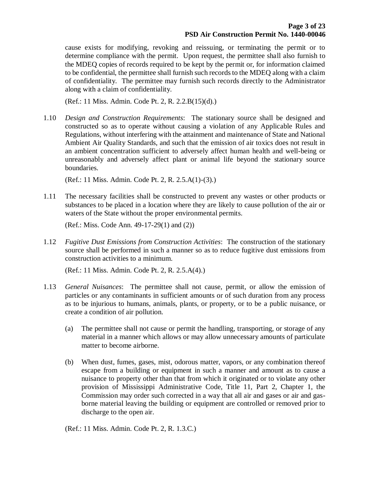cause exists for modifying, revoking and reissuing, or terminating the permit or to determine compliance with the permit. Upon request, the permittee shall also furnish to the MDEQ copies of records required to be kept by the permit or, for information claimed to be confidential, the permittee shall furnish such records to the MDEQ along with a claim of confidentiality. The permittee may furnish such records directly to the Administrator along with a claim of confidentiality.

(Ref.: 11 Miss. Admin. Code Pt. 2, R. 2.2.B(15)(d).)

1.10 *Design and Construction Requirements*: The stationary source shall be designed and constructed so as to operate without causing a violation of any Applicable Rules and Regulations, without interfering with the attainment and maintenance of State and National Ambient Air Quality Standards, and such that the emission of air toxics does not result in an ambient concentration sufficient to adversely affect human health and well-being or unreasonably and adversely affect plant or animal life beyond the stationary source boundaries.

(Ref.: 11 Miss. Admin. Code Pt. 2, R. 2.5.A(1)-(3).)

1.11 The necessary facilities shall be constructed to prevent any wastes or other products or substances to be placed in a location where they are likely to cause pollution of the air or waters of the State without the proper environmental permits.

(Ref.: Miss. Code Ann. 49-17-29(1) and (2))

1.12 *Fugitive Dust Emissions from Construction Activities*: The construction of the stationary source shall be performed in such a manner so as to reduce fugitive dust emissions from construction activities to a minimum.

(Ref.: 11 Miss. Admin. Code Pt. 2, R. 2.5.A(4).)

- 1.13 *General Nuisances*: The permittee shall not cause, permit, or allow the emission of particles or any contaminants in sufficient amounts or of such duration from any process as to be injurious to humans, animals, plants, or property, or to be a public nuisance, or create a condition of air pollution.
	- (a) The permittee shall not cause or permit the handling, transporting, or storage of any material in a manner which allows or may allow unnecessary amounts of particulate matter to become airborne.
	- (b) When dust, fumes, gases, mist, odorous matter, vapors, or any combination thereof escape from a building or equipment in such a manner and amount as to cause a nuisance to property other than that from which it originated or to violate any other provision of Mississippi Administrative Code, Title 11, Part 2, Chapter 1, the Commission may order such corrected in a way that all air and gases or air and gasborne material leaving the building or equipment are controlled or removed prior to discharge to the open air.

(Ref.: 11 Miss. Admin. Code Pt. 2, R. 1.3.C.)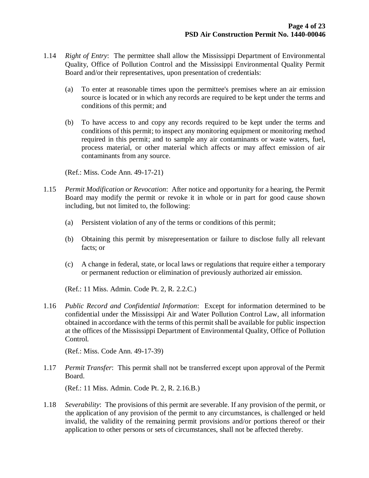- 1.14 *Right of Entry*: The permittee shall allow the Mississippi Department of Environmental Quality, Office of Pollution Control and the Mississippi Environmental Quality Permit Board and/or their representatives, upon presentation of credentials:
	- (a) To enter at reasonable times upon the permittee's premises where an air emission source is located or in which any records are required to be kept under the terms and conditions of this permit; and
	- (b) To have access to and copy any records required to be kept under the terms and conditions of this permit; to inspect any monitoring equipment or monitoring method required in this permit; and to sample any air contaminants or waste waters, fuel, process material, or other material which affects or may affect emission of air contaminants from any source.

(Ref.: Miss. Code Ann. 49-17-21)

- 1.15 *Permit Modification or Revocation*: After notice and opportunity for a hearing, the Permit Board may modify the permit or revoke it in whole or in part for good cause shown including, but not limited to, the following:
	- (a) Persistent violation of any of the terms or conditions of this permit;
	- (b) Obtaining this permit by misrepresentation or failure to disclose fully all relevant facts; or
	- (c) A change in federal, state, or local laws or regulations that require either a temporary or permanent reduction or elimination of previously authorized air emission.

(Ref.: 11 Miss. Admin. Code Pt. 2, R. 2.2.C.)

1.16 *Public Record and Confidential Information*: Except for information determined to be confidential under the Mississippi Air and Water Pollution Control Law, all information obtained in accordance with the terms of this permit shall be available for public inspection at the offices of the Mississippi Department of Environmental Quality, Office of Pollution Control.

(Ref.: Miss. Code Ann. 49-17-39)

1.17 *Permit Transfer*: This permit shall not be transferred except upon approval of the Permit Board.

(Ref.: 11 Miss. Admin. Code Pt. 2, R. 2.16.B.)

1.18 *Severability*: The provisions of this permit are severable. If any provision of the permit, or the application of any provision of the permit to any circumstances, is challenged or held invalid, the validity of the remaining permit provisions and/or portions thereof or their application to other persons or sets of circumstances, shall not be affected thereby.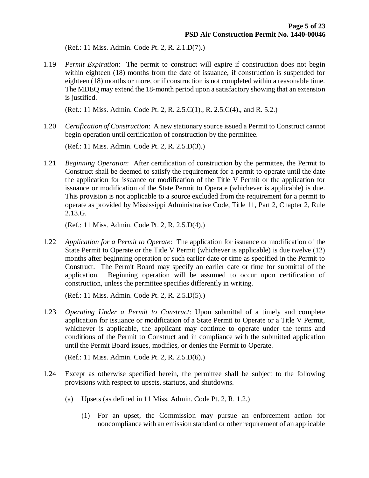(Ref.: 11 Miss. Admin. Code Pt. 2, R. 2.1.D(7).)

1.19 *Permit Expiration*: The permit to construct will expire if construction does not begin within eighteen (18) months from the date of issuance, if construction is suspended for eighteen (18) months or more, or if construction is not completed within a reasonable time. The MDEQ may extend the 18-month period upon a satisfactory showing that an extension is justified.

(Ref.: 11 Miss. Admin. Code Pt. 2, R. 2.5.C(1)., R. 2.5.C(4)., and R. 5.2.)

1.20 *Certification of Construction*: A new stationary source issued a Permit to Construct cannot begin operation until certification of construction by the permittee.

(Ref.: 11 Miss. Admin. Code Pt. 2, R. 2.5.D(3).)

1.21 *Beginning Operation*: After certification of construction by the permittee, the Permit to Construct shall be deemed to satisfy the requirement for a permit to operate until the date the application for issuance or modification of the Title V Permit or the application for issuance or modification of the State Permit to Operate (whichever is applicable) is due. This provision is not applicable to a source excluded from the requirement for a permit to operate as provided by Mississippi Administrative Code, Title 11, Part 2, Chapter 2, Rule 2.13.G.

(Ref.: 11 Miss. Admin. Code Pt. 2, R. 2.5.D(4).)

1.22 *Application for a Permit to Operate*: The application for issuance or modification of the State Permit to Operate or the Title V Permit (whichever is applicable) is due twelve (12) months after beginning operation or such earlier date or time as specified in the Permit to Construct. The Permit Board may specify an earlier date or time for submittal of the application. Beginning operation will be assumed to occur upon certification of construction, unless the permittee specifies differently in writing.

(Ref.: 11 Miss. Admin. Code Pt. 2, R. 2.5.D(5).)

1.23 *Operating Under a Permit to Construct*: Upon submittal of a timely and complete application for issuance or modification of a State Permit to Operate or a Title V Permit, whichever is applicable, the applicant may continue to operate under the terms and conditions of the Permit to Construct and in compliance with the submitted application until the Permit Board issues, modifies, or denies the Permit to Operate.

(Ref.: 11 Miss. Admin. Code Pt. 2, R. 2.5.D(6).)

- 1.24 Except as otherwise specified herein, the permittee shall be subject to the following provisions with respect to upsets, startups, and shutdowns.
	- (a) Upsets (as defined in 11 Miss. Admin. Code Pt. 2, R. 1.2.)
		- (1) For an upset, the Commission may pursue an enforcement action for noncompliance with an emission standard or other requirement of an applicable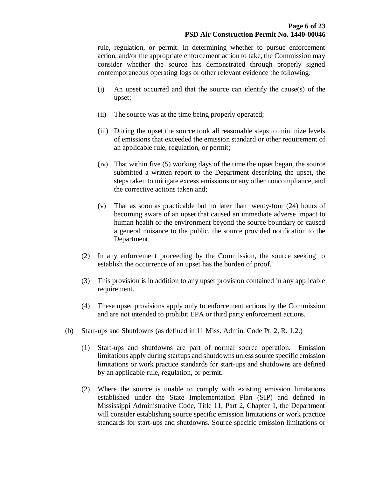rule, regulation, or permit. In determining whether to pursue enforcement action, and/or the appropriate enforcement action to take, the Commission may consider whether the source has demonstrated through properly signed contemporaneous operating logs or other relevant evidence the following:

- (i) An upset occurred and that the source can identify the cause(s) of the upset;
- (ii) The source was at the time being properly operated;
- (iii) During the upset the source took all reasonable steps to minimize levels of emissions that exceeded the emission standard or other requirement of an applicable rule, regulation, or permit;
- (iv) That within five (5) working days of the time the upset began, the source submitted a written report to the Department describing the upset, the steps taken to mitigate excess emissions or any other noncompliance, and the corrective actions taken and;
- (v) That as soon as practicable but no later than twenty-four (24) hours of becoming aware of an upset that caused an immediate adverse impact to human health or the environment beyond the source boundary or caused a general nuisance to the public, the source provided notification to the Department.
- (2) In any enforcement proceeding by the Commission, the source seeking to establish the occurrence of an upset has the burden of proof.
- (3) This provision is in addition to any upset provision contained in any applicable requirement.
- (4) These upset provisions apply only to enforcement actions by the Commission and are not intended to prohibit EPA or third party enforcement actions.
- (b) Start-ups and Shutdowns (as defined in 11 Miss. Admin. Code Pt. 2, R. 1.2.)
	- (1) Start-ups and shutdowns are part of normal source operation. Emission limitations apply during startups and shutdowns unless source specific emission limitations or work practice standards for start-ups and shutdowns are defined by an applicable rule, regulation, or permit.
	- (2) Where the source is unable to comply with existing emission limitations established under the State Implementation Plan (SIP) and defined in Mississippi Administrative Code, Title 11, Part 2, Chapter 1, the Department will consider establishing source specific emission limitations or work practice standards for start-ups and shutdowns. Source specific emission limitations or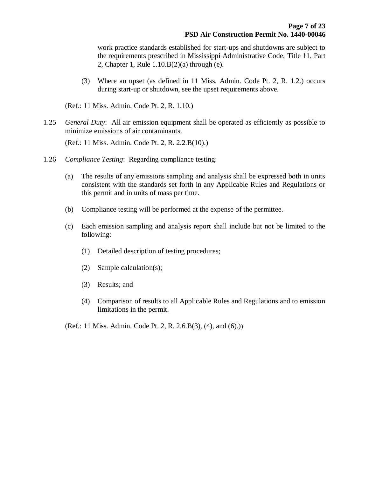work practice standards established for start-ups and shutdowns are subject to the requirements prescribed in Mississippi Administrative Code, Title 11, Part 2, Chapter 1, Rule 1.10.B(2)(a) through (e).

(3) Where an upset (as defined in 11 Miss. Admin. Code Pt. 2, R. 1.2.) occurs during start-up or shutdown, see the upset requirements above.

(Ref.: 11 Miss. Admin. Code Pt. 2, R. 1.10.)

1.25 *General Duty*: All air emission equipment shall be operated as efficiently as possible to minimize emissions of air contaminants.

(Ref.: 11 Miss. Admin. Code Pt. 2, R. 2.2.B(10).)

- 1.26 *Compliance Testing*: Regarding compliance testing:
	- (a) The results of any emissions sampling and analysis shall be expressed both in units consistent with the standards set forth in any Applicable Rules and Regulations or this permit and in units of mass per time.
	- (b) Compliance testing will be performed at the expense of the permittee.
	- (c) Each emission sampling and analysis report shall include but not be limited to the following:
		- (1) Detailed description of testing procedures;
		- (2) Sample calculation(s);
		- (3) Results; and
		- (4) Comparison of results to all Applicable Rules and Regulations and to emission limitations in the permit.
	- (Ref.: 11 Miss. Admin. Code Pt. 2, R. 2.6.B(3), (4), and (6).))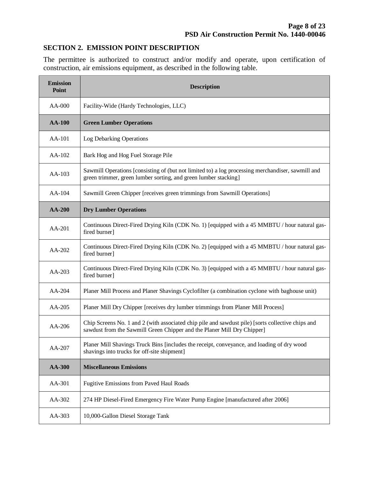#### **SECTION 2. EMISSION POINT DESCRIPTION**

The permittee is authorized to construct and/or modify and operate, upon certification of construction, air emissions equipment, as described in the following table.

| <b>Emission</b><br><b>Point</b> | <b>Description</b>                                                                                                                                                           |  |  |
|---------------------------------|------------------------------------------------------------------------------------------------------------------------------------------------------------------------------|--|--|
| AA-000                          | Facility-Wide (Hardy Technologies, LLC)                                                                                                                                      |  |  |
| <b>AA-100</b>                   | <b>Green Lumber Operations</b>                                                                                                                                               |  |  |
| AA-101                          | Log Debarking Operations                                                                                                                                                     |  |  |
| AA-102                          | Bark Hog and Hog Fuel Storage Pile                                                                                                                                           |  |  |
| AA-103                          | Sawmill Operations [consisting of (but not limited to) a log processing merchandiser, sawmill and<br>green trimmer, green lumber sorting, and green lumber stacking]         |  |  |
| AA-104                          | Sawmill Green Chipper [receives green trimmings from Sawmill Operations]                                                                                                     |  |  |
| <b>AA-200</b>                   | <b>Dry Lumber Operations</b>                                                                                                                                                 |  |  |
| AA-201                          | Continuous Direct-Fired Drying Kiln (CDK No. 1) [equipped with a 45 MMBTU / hour natural gas-<br>fired burner]                                                               |  |  |
| AA-202                          | Continuous Direct-Fired Drying Kiln (CDK No. 2) [equipped with a 45 MMBTU / hour natural gas-<br>fired burner]                                                               |  |  |
| AA-203                          | Continuous Direct-Fired Drying Kiln (CDK No. 3) [equipped with a 45 MMBTU / hour natural gas-<br>fired burner]                                                               |  |  |
| $AA-204$                        | Planer Mill Process and Planer Shavings Cyclofilter (a combination cyclone with baghouse unit)                                                                               |  |  |
| AA-205                          | Planer Mill Dry Chipper [receives dry lumber trimmings from Planer Mill Process]                                                                                             |  |  |
| $AA-206$                        | Chip Screens No. 1 and 2 (with associated chip pile and sawdust pile) [sorts collective chips and<br>sawdust from the Sawmill Green Chipper and the Planer Mill Dry Chipper] |  |  |
| AA-207                          | Planer Mill Shavings Truck Bins [includes the receipt, conveyance, and loading of dry wood<br>shavings into trucks for off-site shipment]                                    |  |  |
| AA-300                          | <b>Miscellaneous Emissions</b>                                                                                                                                               |  |  |
| AA-301                          | Fugitive Emissions from Paved Haul Roads                                                                                                                                     |  |  |
| AA-302                          | 274 HP Diesel-Fired Emergency Fire Water Pump Engine [manufactured after 2006]                                                                                               |  |  |
| AA-303                          | 10,000-Gallon Diesel Storage Tank                                                                                                                                            |  |  |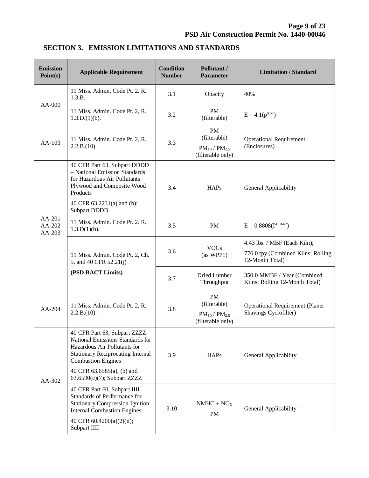| <b>Emission</b><br>Point(s)      | <b>Applicable Requirement</b>                                                                                                                                                                                              | <b>Condition</b><br><b>Number</b> | Pollutant /<br><b>Parameter</b>                                   | <b>Limitation / Standard</b>                                                          |
|----------------------------------|----------------------------------------------------------------------------------------------------------------------------------------------------------------------------------------------------------------------------|-----------------------------------|-------------------------------------------------------------------|---------------------------------------------------------------------------------------|
| $AA-000$                         | 11 Miss. Admin. Code Pt. 2. R.<br>1.3.B.                                                                                                                                                                                   | 3.1                               | Opacity                                                           | 40%                                                                                   |
|                                  | 11 Miss. Admin. Code Pt. 2, R.<br>1.3.D.(1)(b).                                                                                                                                                                            | 3.2                               | <b>PM</b><br>(filterable)                                         | $E = 4.1(p^{0.67})$                                                                   |
| $AA-103$                         | 11 Miss. Admin. Code Pt. 2, R.<br>2.2.B.(10).                                                                                                                                                                              | 3.3                               | PM<br>(filterable)<br>$PM_{10}$ / $PM_{2.5}$<br>(filterable only) | <b>Operational Requirement</b><br>(Enclosures)                                        |
| $AA-201$<br>$AA-202$<br>$AA-203$ | 40 CFR Part 63, Subpart DDDD<br>- National Emission Standards<br>for Hazardous Air Pollutants<br>Plywood and Composite Wood<br>Products<br>40 CFR 63.2231(a) and (b);<br><b>Subpart DDDD</b>                               | 3.4                               | HAPs                                                              | General Applicability                                                                 |
|                                  | 11 Miss. Admin. Code Pt. 2. R.<br>1.3.D(1)(b).                                                                                                                                                                             | 3.5                               | PM                                                                | $E = 0.8808(I^{-0.1667})$                                                             |
|                                  | 11 Miss. Admin. Code Pt. 2, Ch.<br>5. and 40 CFR 52.21(j)                                                                                                                                                                  | 3.6                               | <b>VOCs</b><br>(as WPP1)                                          | 4.43 lbs. / MBF (Each Kiln);<br>776.0 tpy (Combined Kilns; Rolling<br>12-Month Total) |
|                                  | (PSD BACT Limits)                                                                                                                                                                                                          | 3.7                               | Dried Lumber<br>Throughput                                        | 350.0 MMBF / Year (Combined<br>Kilns; Rolling 12-Month Total)                         |
| $AA-204$                         | 11 Miss. Admin. Code Pt. 2, R.<br>2.2.B.(10).                                                                                                                                                                              | 3.8                               | PM<br>(filterable)<br>$PM_{10}$ / $PM_{2.5}$<br>(filterable only) | <b>Operational Requirement (Planer</b><br>Shavings Cyclofilter)                       |
| $AA-302$                         | 40 CFR Part 63, Subpart ZZZZ -<br>National Emissions Standards for<br>Hazardous Air Pollutants for<br><b>Stationary Reciprocating Internal</b><br><b>Combustion Engines</b><br>40 CFR 63.6585(a), (b) and                  | 3.9                               | <b>HAPs</b>                                                       | General Applicability                                                                 |
|                                  | 63.6590(c)(7); Subpart ZZZZ<br>40 CFR Part 60, Subpart IIII -<br>Standards of Performance for<br><b>Stationary Compression Ignition</b><br><b>Internal Combustion Engines</b><br>40 CFR 60.4200(a)(2)(ii);<br>Subpart IIII | 3.10                              | $NMHC + NOX$<br><b>PM</b>                                         | General Applicability                                                                 |

#### **SECTION 3. EMISSION LIMITATIONS AND STANDARDS**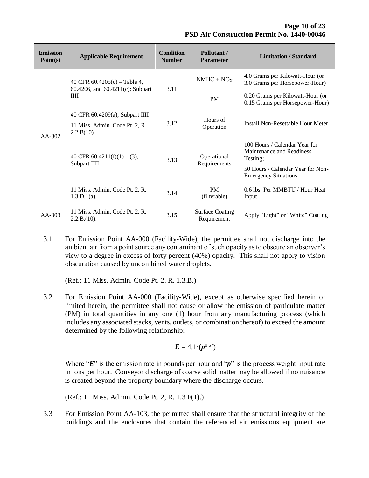**Page 10 of 23 PSD Air Construction Permit No. 1440-00046**

| <b>Emission</b><br>Point(s) | <b>Applicable Requirement</b>                                           | <b>Condition</b><br><b>Number</b> | Pollutant/<br><b>Parameter</b>        | <b>Limitation / Standard</b>                                                                                                               |
|-----------------------------|-------------------------------------------------------------------------|-----------------------------------|---------------------------------------|--------------------------------------------------------------------------------------------------------------------------------------------|
| $AA-302$                    | 40 CFR $60.4205(c)$ – Table 4,<br>60.4206, and 60.4211(c); Subpart<br>Ш | 3.11                              | $NMHC + NOx$                          | 4.0 Grams per Kilowatt-Hour (or<br>3.0 Grams per Horsepower-Hour)                                                                          |
|                             |                                                                         |                                   | <b>PM</b>                             | 0.20 Grams per Kilowatt-Hour (or<br>0.15 Grams per Horsepower-Hour)                                                                        |
|                             | 40 CFR 60.4209(a); Subpart IIII                                         | 3.12                              | Hours of<br>Operation                 | Install Non-Resettable Hour Meter                                                                                                          |
|                             | 11 Miss. Admin. Code Pt. 2, R.<br>2.2.B(10).                            |                                   |                                       |                                                                                                                                            |
|                             | 40 CFR 60.4211(f)(1) – (3);<br>Subpart IIII                             | 3.13                              | Operational<br>Requirements           | 100 Hours / Calendar Year for<br>Maintenance and Readiness<br>Testing;<br>50 Hours / Calendar Year for Non-<br><b>Emergency Situations</b> |
|                             | 11 Miss. Admin. Code Pt. 2, R.<br>$1.3.D.1(a)$ .                        | 3.14                              | <b>PM</b><br>(filterable)             | 0.6 lbs. Per MMBTU / Hour Heat<br>Input                                                                                                    |
| $AA-303$                    | 11 Miss. Admin. Code Pt. 2, R.<br>2.2.B.(10).                           | 3.15                              | <b>Surface Coating</b><br>Requirement | Apply "Light" or "White" Coating                                                                                                           |

3.1 For Emission Point AA-000 (Facility-Wide), the permittee shall not discharge into the ambient air from a point source any contaminant of such opacity as to obscure an observer's view to a degree in excess of forty percent (40%) opacity. This shall not apply to vision obscuration caused by uncombined water droplets.

(Ref.: 11 Miss. Admin. Code Pt. 2. R. 1.3.B.)

3.2 For Emission Point AA-000 (Facility-Wide), except as otherwise specified herein or limited herein, the permittee shall not cause or allow the emission of particulate matter (PM) in total quantities in any one (1) hour from any manufacturing process (which includes any associated stacks, vents, outlets, or combination thereof) to exceed the amount determined by the following relationship:

$$
E=4.1\cdot(p^{0.67})
$$

Where "*E*" is the emission rate in pounds per hour and "*p*" is the process weight input rate in tons per hour. Conveyor discharge of coarse solid matter may be allowed if no nuisance is created beyond the property boundary where the discharge occurs.

(Ref.: 11 Miss. Admin. Code Pt. 2, R. 1.3.F(1).)

3.3 For Emission Point AA-103, the permittee shall ensure that the structural integrity of the buildings and the enclosures that contain the referenced air emissions equipment are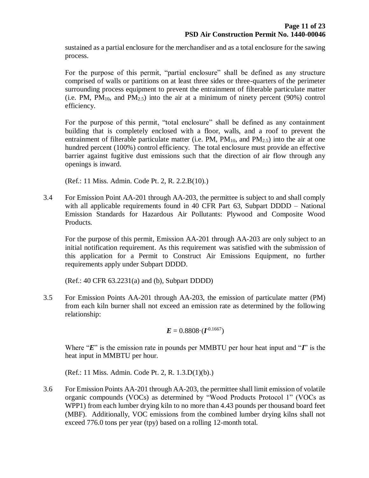sustained as a partial enclosure for the merchandiser and as a total enclosure for the sawing process.

For the purpose of this permit, "partial enclosure" shall be defined as any structure comprised of walls or partitions on at least three sides or three-quarters of the perimeter surrounding process equipment to prevent the entrainment of filterable particulate matter (i.e. PM,  $PM_{10}$ , and  $PM_{2.5}$ ) into the air at a minimum of ninety percent (90%) control efficiency.

For the purpose of this permit, "total enclosure" shall be defined as any containment building that is completely enclosed with a floor, walls, and a roof to prevent the entrainment of filterable particulate matter (i.e. PM,  $PM_{10}$ , and  $PM_{2.5}$ ) into the air at one hundred percent (100%) control efficiency. The total enclosure must provide an effective barrier against fugitive dust emissions such that the direction of air flow through any openings is inward.

(Ref.: 11 Miss. Admin. Code Pt. 2, R. 2.2.B(10).)

3.4 For Emission Point AA-201 through AA-203, the permittee is subject to and shall comply with all applicable requirements found in 40 CFR Part 63, Subpart DDDD – National Emission Standards for Hazardous Air Pollutants: Plywood and Composite Wood Products.

For the purpose of this permit, Emission AA-201 through AA-203 are only subject to an initial notification requirement. As this requirement was satisfied with the submission of this application for a Permit to Construct Air Emissions Equipment, no further requirements apply under Subpart DDDD.

(Ref.: 40 CFR 63.2231(a) and (b), Subpart DDDD)

3.5 For Emission Points AA-201 through AA-203, the emission of particulate matter (PM) from each kiln burner shall not exceed an emission rate as determined by the following relationship:

$$
E = 0.8808 \cdot (I^{0.1667})
$$

Where "*E*" is the emission rate in pounds per MMBTU per hour heat input and "*I*" is the heat input in MMBTU per hour.

(Ref.: 11 Miss. Admin. Code Pt. 2, R. 1.3.D(1)(b).)

3.6 For Emission Points AA-201 through AA-203, the permittee shall limit emission of volatile organic compounds (VOCs) as determined by "Wood Products Protocol 1" (VOCs as WPP1) from each lumber drying kiln to no more than 4.43 pounds per thousand board feet (MBF). Additionally, VOC emissions from the combined lumber drying kilns shall not exceed 776.0 tons per year (tpy) based on a rolling 12-month total.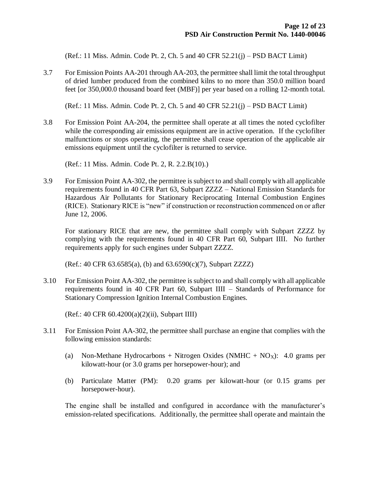(Ref.: 11 Miss. Admin. Code Pt. 2, Ch. 5 and 40 CFR 52.21(j) – PSD BACT Limit)

3.7 For Emission Points AA-201 through AA-203, the permittee shall limit the total throughput of dried lumber produced from the combined kilns to no more than 350.0 million board feet [or 350,000.0 thousand board feet (MBF)] per year based on a rolling 12-month total.

(Ref.: 11 Miss. Admin. Code Pt. 2, Ch. 5 and 40 CFR 52.21(j) – PSD BACT Limit)

3.8 For Emission Point AA-204, the permittee shall operate at all times the noted cyclofilter while the corresponding air emissions equipment are in active operation. If the cyclofilter malfunctions or stops operating, the permittee shall cease operation of the applicable air emissions equipment until the cyclofilter is returned to service.

(Ref.: 11 Miss. Admin. Code Pt. 2, R. 2.2.B(10).)

3.9 For Emission Point AA-302, the permittee is subject to and shall comply with all applicable requirements found in 40 CFR Part 63, Subpart ZZZZ – National Emission Standards for Hazardous Air Pollutants for Stationary Reciprocating Internal Combustion Engines (RICE). Stationary RICE is "new" if construction or reconstruction commenced on or after June 12, 2006.

For stationary RICE that are new, the permittee shall comply with Subpart ZZZZ by complying with the requirements found in 40 CFR Part 60, Subpart IIII. No further requirements apply for such engines under Subpart ZZZZ.

(Ref.: 40 CFR 63.6585(a), (b) and 63.6590(c)(7), Subpart ZZZZ)

3.10 For Emission Point AA-302, the permittee is subject to and shall comply with all applicable requirements found in 40 CFR Part 60, Subpart IIII – Standards of Performance for Stationary Compression Ignition Internal Combustion Engines.

(Ref.: 40 CFR 60.4200(a)(2)(ii), Subpart IIII)

- 3.11 For Emission Point AA-302, the permittee shall purchase an engine that complies with the following emission standards:
	- (a) Non-Methane Hydrocarbons + Nitrogen Oxides (NMHC +  $NO<sub>X</sub>$ ): 4.0 grams per kilowatt-hour (or 3.0 grams per horsepower-hour); and
	- (b) Particulate Matter (PM): 0.20 grams per kilowatt-hour (or 0.15 grams per horsepower-hour).

The engine shall be installed and configured in accordance with the manufacturer's emission-related specifications. Additionally, the permittee shall operate and maintain the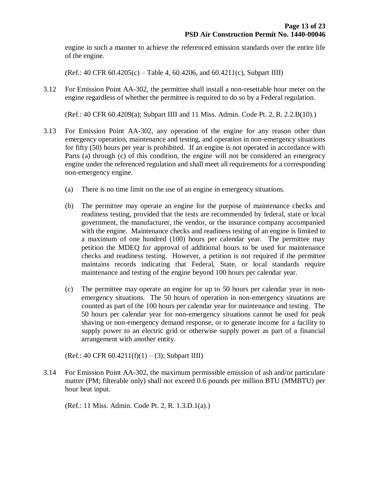engine in such a manner to achieve the referenced emission standards over the entire life of the engine.

(Ref.: 40 CFR 60.4205(c) – Table 4, 60.4206, and 60.4211(c), Subpart IIII)

3.12 For Emission Point AA-302, the permittee shall install a non-resettable hour meter on the engine regardless of whether the permittee is required to do so by a Federal regulation.

(Ref.: 40 CFR 60.4209(a); Subpart IIII and 11 Miss. Admin. Code Pt. 2, R. 2.2.B(10).)

- 3.13 For Emission Point AA-302, any operation of the engine for any reason other than emergency operation, maintenance and testing, and operation in non-emergency situations for fifty (50) hours per year is prohibited. If an engine is not operated in accordance with Parts (a) through (c) of this condition, the engine will not be considered an emergency engine under the referenced regulation and shall meet all requirements for a corresponding non-emergency engine.
	- (a) There is no time limit on the use of an engine in emergency situations.
	- (b) The permittee may operate an engine for the purpose of maintenance checks and readiness testing, provided that the tests are recommended by federal, state or local government, the manufacturer, the vendor, or the insurance company accompanied with the engine. Maintenance checks and readiness testing of an engine is limited to a maximum of one hundred (100) hours per calendar year. The permittee may petition the MDEQ for approval of additional hours to be used for maintenance checks and readiness testing. However, a petition is not required if the permittee maintains records indicating that Federal, State, or local standards require maintenance and testing of the engine beyond 100 hours per calendar year.
	- (c) The permittee may operate an engine for up to 50 hours per calendar year in nonemergency situations. The 50 hours of operation in non-emergency situations are counted as part of the 100 hours per calendar year for maintenance and testing. The 50 hours per calendar year for non-emergency situations cannot be used for peak shaving or non-emergency demand response, or to generate income for a facility to supply power to an electric grid or otherwise supply power as part of a financial arrangement with another entity.

(Ref.: 40 CFR  $60.4211(f)(1) - (3)$ ; Subpart IIII)

3.14 For Emission Point AA-302, the maximum permissible emission of ash and/or particulate matter (PM; filterable only) shall not exceed 0.6 pounds per million BTU (MMBTU) per hour heat input.

(Ref.: 11 Miss. Admin. Code Pt. 2, R. 1.3.D.1(a).)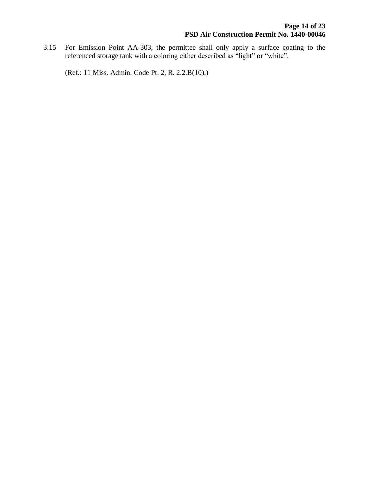3.15 For Emission Point AA-303, the permittee shall only apply a surface coating to the referenced storage tank with a coloring either described as "light" or "white".

(Ref.: 11 Miss. Admin. Code Pt. 2, R. 2.2.B(10).)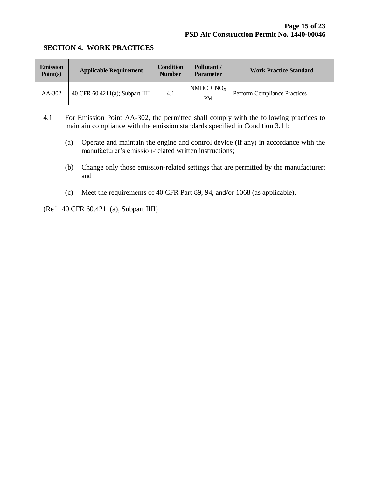#### **SECTION 4. WORK PRACTICES**

| <b>Emission</b><br>Point(s) | <b>Applicable Requirement</b>   | <b>Condition</b><br><b>Number</b> | Pollutant /<br><b>Parameter</b> | <b>Work Practice Standard</b>       |
|-----------------------------|---------------------------------|-----------------------------------|---------------------------------|-------------------------------------|
| $AA-302$                    | 40 CFR 60.4211(a); Subpart IIII | 4.1                               | $NMHC + NOX$<br><b>PM</b>       | <b>Perform Compliance Practices</b> |

- 4.1 For Emission Point AA-302, the permittee shall comply with the following practices to maintain compliance with the emission standards specified in Condition 3.11:
	- (a) Operate and maintain the engine and control device (if any) in accordance with the manufacturer's emission-related written instructions;
	- (b) Change only those emission-related settings that are permitted by the manufacturer; and
	- (c) Meet the requirements of 40 CFR Part 89, 94, and/or 1068 (as applicable).

(Ref.: 40 CFR 60.4211(a), Subpart IIII)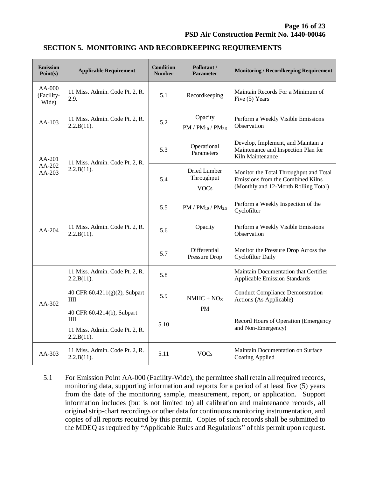#### **SECTION 5. MONITORING AND RECORDKEEPING REQUIREMENTS**

| <b>Emission</b><br>Point(s)   | <b>Applicable Requirement</b>                                                   | <b>Condition</b><br><b>Number</b> | Pollutant /<br><b>Parameter</b>           | <b>Monitoring / Recordkeeping Requirement</b>                                                                       |
|-------------------------------|---------------------------------------------------------------------------------|-----------------------------------|-------------------------------------------|---------------------------------------------------------------------------------------------------------------------|
| AA-000<br>(Facility-<br>Wide) | 11 Miss. Admin. Code Pt. 2, R.<br>2.9.                                          | 5.1                               | Recordkeeping                             | Maintain Records For a Minimum of<br>Five (5) Years                                                                 |
| $AA-103$                      | 11 Miss. Admin. Code Pt. 2, R.<br>2.2.B(11).                                    | 5.2                               | Opacity<br>$PM / PM_{10} / PM_{2.5}$      | Perform a Weekly Visible Emissions<br>Observation                                                                   |
| AA-201<br>AA-202<br>AA-203    | 11 Miss. Admin. Code Pt. 2, R.<br>2.2.B(11).                                    | 5.3                               | Operational<br>Parameters                 | Develop, Implement, and Maintain a<br>Maintenance and Inspection Plan for<br>Kiln Maintenance                       |
|                               |                                                                                 | 5.4                               | Dried Lumber<br>Throughput<br><b>VOCs</b> | Monitor the Total Throughput and Total<br>Emissions from the Combined Kilns<br>(Monthly and 12-Month Rolling Total) |
| AA-204                        | 11 Miss. Admin. Code Pt. 2, R.<br>2.2.B(11).                                    | 5.5                               | $PM / PM_{10} / PM_{2.5}$                 | Perform a Weekly Inspection of the<br>Cyclofilter                                                                   |
|                               |                                                                                 | 5.6                               | Opacity                                   | Perform a Weekly Visible Emissions<br>Observation                                                                   |
|                               |                                                                                 | 5.7                               | Differential<br>Pressure Drop             | Monitor the Pressure Drop Across the<br><b>Cyclofilter Daily</b>                                                    |
| AA-302                        | 11 Miss. Admin. Code Pt. 2, R.<br>2.2.B(11).                                    | 5.8                               | $NMHC + NOx$                              | Maintain Documentation that Certifies<br><b>Applicable Emission Standards</b>                                       |
|                               | 40 CFR 60.4211(g)(2), Subpart<br>ШI                                             | 5.9                               |                                           | <b>Conduct Compliance Demonstration</b><br>Actions (As Applicable)                                                  |
|                               | 40 CFR 60.4214(b), Subpart<br>Ш<br>11 Miss. Admin. Code Pt. 2, R.<br>2.2.B(11). | 5.10                              | <b>PM</b>                                 | Record Hours of Operation (Emergency<br>and Non-Emergency)                                                          |
| AA-303                        | 11 Miss. Admin. Code Pt. 2, R.<br>2.2.B(11).                                    | 5.11                              | <b>VOCs</b>                               | Maintain Documentation on Surface<br><b>Coating Applied</b>                                                         |

5.1 For Emission Point AA-000 (Facility-Wide), the permittee shall retain all required records, monitoring data, supporting information and reports for a period of at least five (5) years from the date of the monitoring sample, measurement, report, or application. Support information includes (but is not limited to) all calibration and maintenance records, all original strip-chart recordings or other data for continuous monitoring instrumentation, and copies of all reports required by this permit. Copies of such records shall be submitted to the MDEQ as required by "Applicable Rules and Regulations" of this permit upon request.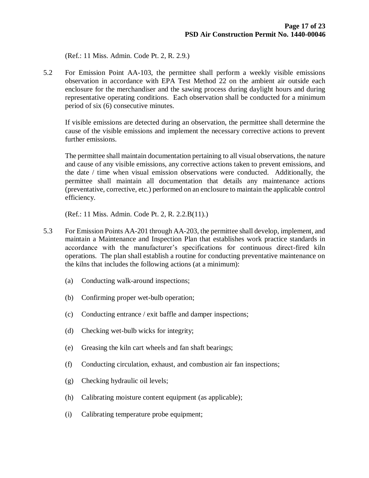(Ref.: 11 Miss. Admin. Code Pt. 2, R. 2.9.)

5.2 For Emission Point AA-103, the permittee shall perform a weekly visible emissions observation in accordance with EPA Test Method 22 on the ambient air outside each enclosure for the merchandiser and the sawing process during daylight hours and during representative operating conditions. Each observation shall be conducted for a minimum period of six (6) consecutive minutes.

If visible emissions are detected during an observation, the permittee shall determine the cause of the visible emissions and implement the necessary corrective actions to prevent further emissions.

The permittee shall maintain documentation pertaining to all visual observations, the nature and cause of any visible emissions, any corrective actions taken to prevent emissions, and the date / time when visual emission observations were conducted. Additionally, the permittee shall maintain all documentation that details any maintenance actions (preventative, corrective, etc.) performed on an enclosure to maintain the applicable control efficiency.

(Ref.: 11 Miss. Admin. Code Pt. 2, R. 2.2.B(11).)

- 5.3 For Emission Points AA-201 through AA-203, the permittee shall develop, implement, and maintain a Maintenance and Inspection Plan that establishes work practice standards in accordance with the manufacturer's specifications for continuous direct-fired kiln operations. The plan shall establish a routine for conducting preventative maintenance on the kilns that includes the following actions (at a minimum):
	- (a) Conducting walk-around inspections;
	- (b) Confirming proper wet-bulb operation;
	- (c) Conducting entrance / exit baffle and damper inspections;
	- (d) Checking wet-bulb wicks for integrity;
	- (e) Greasing the kiln cart wheels and fan shaft bearings;
	- (f) Conducting circulation, exhaust, and combustion air fan inspections;
	- (g) Checking hydraulic oil levels;
	- (h) Calibrating moisture content equipment (as applicable);
	- (i) Calibrating temperature probe equipment;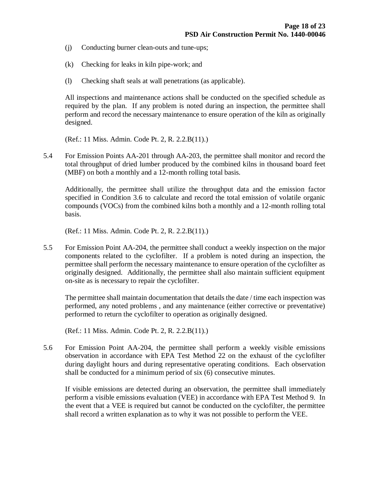- (j) Conducting burner clean-outs and tune-ups;
- (k) Checking for leaks in kiln pipe-work; and
- (l) Checking shaft seals at wall penetrations (as applicable).

All inspections and maintenance actions shall be conducted on the specified schedule as required by the plan. If any problem is noted during an inspection, the permittee shall perform and record the necessary maintenance to ensure operation of the kiln as originally designed.

(Ref.: 11 Miss. Admin. Code Pt. 2, R. 2.2.B(11).)

5.4 For Emission Points AA-201 through AA-203, the permittee shall monitor and record the total throughput of dried lumber produced by the combined kilns in thousand board feet (MBF) on both a monthly and a 12-month rolling total basis.

Additionally, the permittee shall utilize the throughput data and the emission factor specified in Condition 3.6 to calculate and record the total emission of volatile organic compounds (VOCs) from the combined kilns both a monthly and a 12-month rolling total basis.

(Ref.: 11 Miss. Admin. Code Pt. 2, R. 2.2.B(11).)

5.5 For Emission Point AA-204, the permittee shall conduct a weekly inspection on the major components related to the cyclofilter. If a problem is noted during an inspection, the permittee shall perform the necessary maintenance to ensure operation of the cyclofilter as originally designed. Additionally, the permittee shall also maintain sufficient equipment on-site as is necessary to repair the cyclofilter.

The permittee shall maintain documentation that details the date / time each inspection was performed, any noted problems , and any maintenance (either corrective or preventative) performed to return the cyclofilter to operation as originally designed.

(Ref.: 11 Miss. Admin. Code Pt. 2, R. 2.2.B(11).)

5.6 For Emission Point AA-204, the permittee shall perform a weekly visible emissions observation in accordance with EPA Test Method 22 on the exhaust of the cyclofilter during daylight hours and during representative operating conditions. Each observation shall be conducted for a minimum period of six (6) consecutive minutes.

If visible emissions are detected during an observation, the permittee shall immediately perform a visible emissions evaluation (VEE) in accordance with EPA Test Method 9. In the event that a VEE is required but cannot be conducted on the cyclofilter, the permittee shall record a written explanation as to why it was not possible to perform the VEE.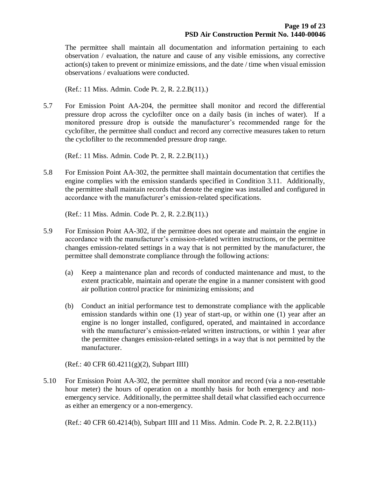The permittee shall maintain all documentation and information pertaining to each observation / evaluation, the nature and cause of any visible emissions, any corrective action(s) taken to prevent or minimize emissions, and the date / time when visual emission observations / evaluations were conducted.

(Ref.: 11 Miss. Admin. Code Pt. 2, R. 2.2.B(11).)

5.7 For Emission Point AA-204, the permittee shall monitor and record the differential pressure drop across the cyclofilter once on a daily basis (in inches of water). If a monitored pressure drop is outside the manufacturer's recommended range for the cyclofilter, the permittee shall conduct and record any corrective measures taken to return the cyclofilter to the recommended pressure drop range.

(Ref.: 11 Miss. Admin. Code Pt. 2, R. 2.2.B(11).)

5.8 For Emission Point AA-302, the permittee shall maintain documentation that certifies the engine complies with the emission standards specified in Condition 3.11. Additionally, the permittee shall maintain records that denote the engine was installed and configured in accordance with the manufacturer's emission-related specifications.

(Ref.: 11 Miss. Admin. Code Pt. 2, R. 2.2.B(11).)

- 5.9 For Emission Point AA-302, if the permittee does not operate and maintain the engine in accordance with the manufacturer's emission-related written instructions, or the permittee changes emission-related settings in a way that is not permitted by the manufacturer, the permittee shall demonstrate compliance through the following actions:
	- (a) Keep a maintenance plan and records of conducted maintenance and must, to the extent practicable, maintain and operate the engine in a manner consistent with good air pollution control practice for minimizing emissions; and
	- (b) Conduct an initial performance test to demonstrate compliance with the applicable emission standards within one (1) year of start-up, or within one (1) year after an engine is no longer installed, configured, operated, and maintained in accordance with the manufacturer's emission-related written instructions, or within 1 year after the permittee changes emission-related settings in a way that is not permitted by the manufacturer.

(Ref.: 40 CFR 60.4211(g)(2), Subpart IIII)

5.10 For Emission Point AA-302, the permittee shall monitor and record (via a non-resettable hour meter) the hours of operation on a monthly basis for both emergency and nonemergency service. Additionally, the permittee shall detail what classified each occurrence as either an emergency or a non-emergency.

(Ref.: 40 CFR 60.4214(b), Subpart IIII and 11 Miss. Admin. Code Pt. 2, R. 2.2.B(11).)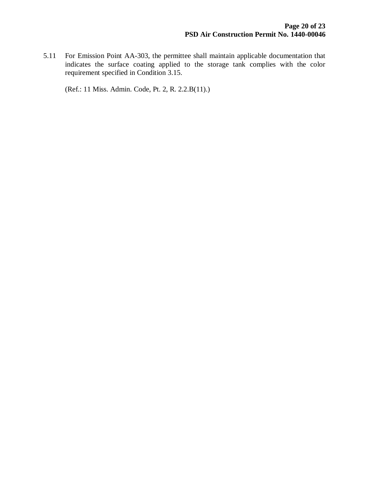5.11 For Emission Point AA-303, the permittee shall maintain applicable documentation that indicates the surface coating applied to the storage tank complies with the color requirement specified in Condition 3.15.

(Ref.: 11 Miss. Admin. Code, Pt. 2, R. 2.2.B(11).)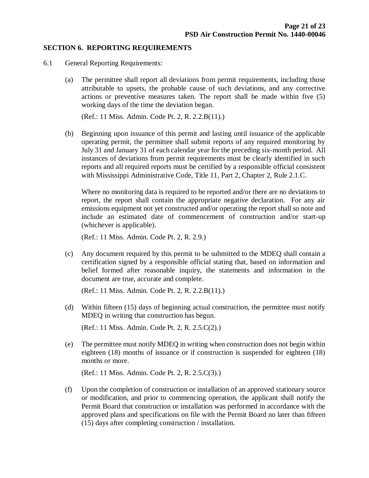#### **SECTION 6. REPORTING REQUIREMENTS**

- 6.1 General Reporting Requirements:
	- (a) The permittee shall report all deviations from permit requirements, including those attributable to upsets, the probable cause of such deviations, and any corrective actions or preventive measures taken. The report shall be made within five (5) working days of the time the deviation began.

(Ref.: 11 Miss. Admin. Code Pt. 2, R. 2.2.B(11).)

(b) Beginning upon issuance of this permit and lasting until issuance of the applicable operating permit, the permittee shall submit reports of any required monitoring by July 31 and January 31 of each calendar year for the preceding six-month period. All instances of deviations from permit requirements must be clearly identified in such reports and all required reports must be certified by a responsible official consistent with Mississippi Administrative Code, Title 11, Part 2, Chapter 2, Rule 2.1.C.

Where no monitoring data is required to be reported and/or there are no deviations to report, the report shall contain the appropriate negative declaration. For any air emissions equipment not yet constructed and/or operating the report shall so note and include an estimated date of commencement of construction and/or start-up (whichever is applicable).

(Ref.: 11 Miss. Admin. Code Pt. 2, R. 2.9.)

(c) Any document required by this permit to be submitted to the MDEQ shall contain a certification signed by a responsible official stating that, based on information and belief formed after reasonable inquiry, the statements and information in the document are true, accurate and complete.

(Ref.: 11 Miss. Admin. Code Pt. 2, R. 2.2.B(11).)

(d) Within fifteen (15) days of beginning actual construction, the permittee must notify MDEQ in writing that construction has begun.

(Ref.: 11 Miss. Admin. Code Pt. 2, R. 2.5.C(2).)

(e) The permittee must notify MDEQ in writing when construction does not begin within eighteen (18) months of issuance or if construction is suspended for eighteen (18) months or more.

(Ref.: 11 Miss. Admin. Code Pt. 2, R. 2.5.C(3).)

(f) Upon the completion of construction or installation of an approved stationary source or modification, and prior to commencing operation, the applicant shall notify the Permit Board that construction or installation was performed in accordance with the approved plans and specifications on file with the Permit Board no later than fifteen (15) days after completing construction / installation.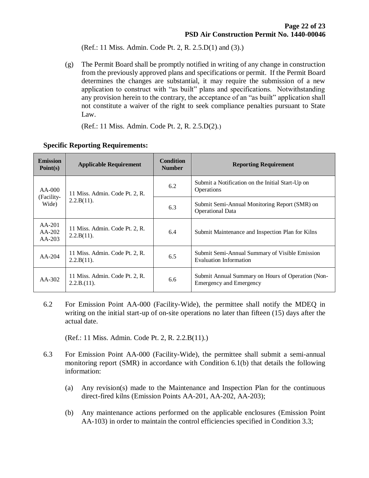(Ref.: 11 Miss. Admin. Code Pt. 2, R. 2.5.D(1) and (3).)

(g) The Permit Board shall be promptly notified in writing of any change in construction from the previously approved plans and specifications or permit. If the Permit Board determines the changes are substantial, it may require the submission of a new application to construct with "as built" plans and specifications. Notwithstanding any provision herein to the contrary, the acceptance of an "as built" application shall not constitute a waiver of the right to seek compliance penalties pursuant to State Law.

(Ref.: 11 Miss. Admin. Code Pt. 2, R. 2.5.D(2).)

| <b>Emission</b><br>Point(s)     | <b>Applicable Requirement</b>                   | <b>Condition</b><br><b>Number</b> | <b>Reporting Requirement</b>                                                        |
|---------------------------------|-------------------------------------------------|-----------------------------------|-------------------------------------------------------------------------------------|
| $AA-000$<br>(Facility-<br>Wide) | 11 Miss. Admin. Code Pt. 2, R.<br>$2.2.B(11)$ . | 6.2                               | Submit a Notification on the Initial Start-Up on<br>Operations                      |
|                                 |                                                 | 6.3                               | Submit Semi-Annual Monitoring Report (SMR) on<br><b>Operational Data</b>            |
| $AA-201$<br>AA-202<br>$AA-203$  | 11 Miss. Admin. Code Pt. 2, R.<br>2.2.B(11).    | 6.4                               | Submit Maintenance and Inspection Plan for Kilns                                    |
| $AA-204$                        | 11 Miss. Admin. Code Pt. 2, R.<br>$2.2.B(11)$ . | 6.5                               | Submit Semi-Annual Summary of Visible Emission<br><b>Evaluation Information</b>     |
| $AA-302$                        | 11 Miss. Admin. Code Pt. 2, R.<br>2.2.B.(11).   | 6.6                               | Submit Annual Summary on Hours of Operation (Non-<br><b>Emergency and Emergency</b> |

#### **Specific Reporting Requirements:**

6.2 For Emission Point AA-000 (Facility-Wide), the permittee shall notify the MDEQ in writing on the initial start-up of on-site operations no later than fifteen (15) days after the actual date.

(Ref.: 11 Miss. Admin. Code Pt. 2, R. 2.2.B(11).)

- 6.3 For Emission Point AA-000 (Facility-Wide), the permittee shall submit a semi-annual monitoring report (SMR) in accordance with Condition 6.1(b) that details the following information:
	- (a) Any revision(s) made to the Maintenance and Inspection Plan for the continuous direct-fired kilns (Emission Points AA-201, AA-202, AA-203);
	- (b) Any maintenance actions performed on the applicable enclosures (Emission Point AA-103) in order to maintain the control efficiencies specified in Condition 3.3;